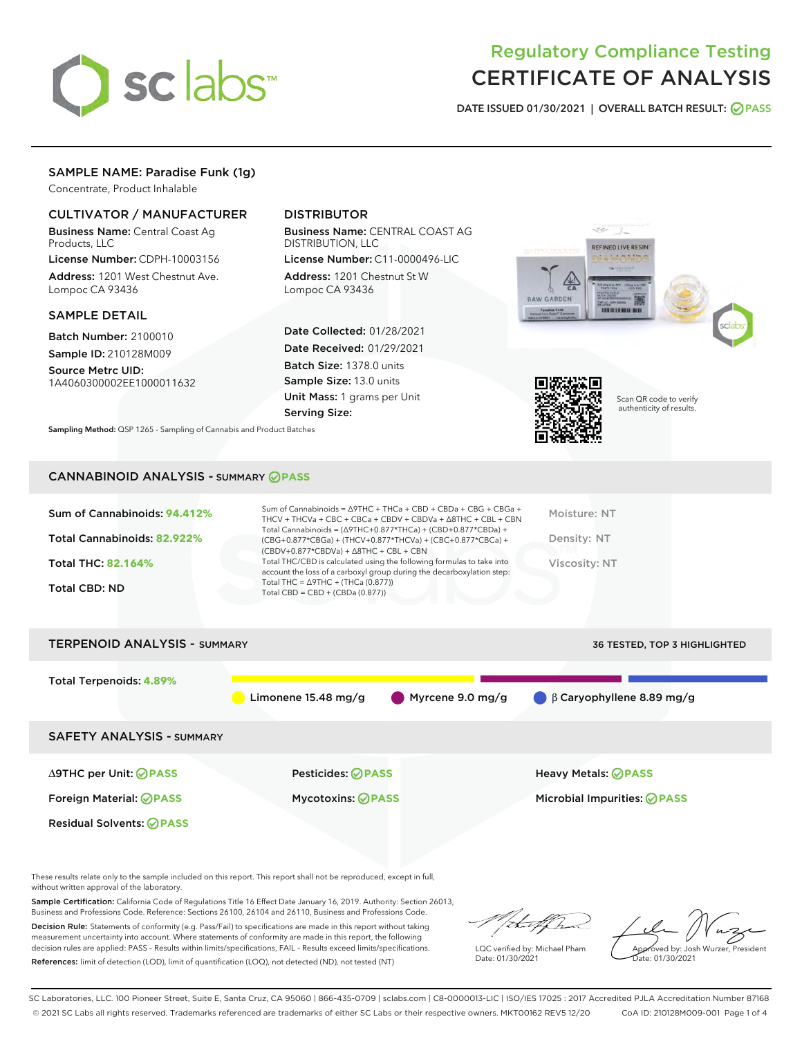

# Regulatory Compliance Testing CERTIFICATE OF ANALYSIS

DATE ISSUED 01/30/2021 | OVERALL BATCH RESULT: @ PASS

# SAMPLE NAME: Paradise Funk (1g)

Concentrate, Product Inhalable

# CULTIVATOR / MANUFACTURER

Business Name: Central Coast Ag Products, LLC

License Number: CDPH-10003156 Address: 1201 West Chestnut Ave. Lompoc CA 93436

## SAMPLE DETAIL

Batch Number: 2100010 Sample ID: 210128M009

Source Metrc UID: 1A4060300002EE1000011632

# DISTRIBUTOR

Business Name: CENTRAL COAST AG DISTRIBUTION, LLC

License Number: C11-0000496-LIC Address: 1201 Chestnut St W Lompoc CA 93436

Date Collected: 01/28/2021 Date Received: 01/29/2021 Batch Size: 1378.0 units Sample Size: 13.0 units Unit Mass: 1 grams per Unit Serving Size:

Sampling Method: QSP 1265 - Sampling of Cannabis and Product Batches





Scan QR code to verify authenticity of results.

#### CANNABINOID ANALYSIS - SUMMARY **PASS**

| Sum of Cannabinoids: 94.412%<br>Total Cannabinoids: 82.922%<br><b>Total THC: 82.164%</b><br><b>Total CBD: ND</b> | Sum of Cannabinoids = $\triangle$ 9THC + THCa + CBD + CBDa + CBG + CBGa +<br>THCV + THCVa + CBC + CBCa + CBDV + CBDVa + $\land$ 8THC + CBL + CBN<br>Total Cannabinoids = $(\Delta$ 9THC+0.877*THCa) + (CBD+0.877*CBDa) +<br>(CBG+0.877*CBGa) + (THCV+0.877*THCVa) + (CBC+0.877*CBCa) +<br>$(CBDV+0.877*CBDVa) + \Delta 8THC + CBL + CBN$<br>Total THC/CBD is calculated using the following formulas to take into<br>account the loss of a carboxyl group during the decarboxylation step:<br>Total THC = $\triangle$ 9THC + (THCa (0.877))<br>Total CBD = $CBD + (CBDa (0.877))$ | Moisture: NT<br>Density: NT<br>Viscosity: NT |
|------------------------------------------------------------------------------------------------------------------|-----------------------------------------------------------------------------------------------------------------------------------------------------------------------------------------------------------------------------------------------------------------------------------------------------------------------------------------------------------------------------------------------------------------------------------------------------------------------------------------------------------------------------------------------------------------------------------|----------------------------------------------|
| <b>TERPENOID ANALYSIS - SUMMARY</b>                                                                              |                                                                                                                                                                                                                                                                                                                                                                                                                                                                                                                                                                                   | 36 TESTED, TOP 3 HIGHLIGHTED                 |

Total Terpenoids: **4.89%** Limonene 15.48 mg/g Myrcene 9.0 mg/g β Caryophyllene 8.89 mg/g SAFETY ANALYSIS - SUMMARY ∆9THC per Unit: **PASS** Pesticides: **PASS** Heavy Metals: **PASS** Foreign Material: **PASS** Mycotoxins: **PASS** Microbial Impurities: **PASS** Residual Solvents: **OPASS** 

These results relate only to the sample included on this report. This report shall not be reproduced, except in full, without written approval of the laboratory.

Sample Certification: California Code of Regulations Title 16 Effect Date January 16, 2019. Authority: Section 26013, Business and Professions Code. Reference: Sections 26100, 26104 and 26110, Business and Professions Code.

Decision Rule: Statements of conformity (e.g. Pass/Fail) to specifications are made in this report without taking measurement uncertainty into account. Where statements of conformity are made in this report, the following decision rules are applied: PASS – Results within limits/specifications, FAIL – Results exceed limits/specifications. References: limit of detection (LOD), limit of quantification (LOQ), not detected (ND), not tested (NT)

:t=4fh

LQC verified by: Michael Pham Date: 01/30/2021

Approved by: Josh Wurzer, President ate: 01/30/2021

SC Laboratories, LLC. 100 Pioneer Street, Suite E, Santa Cruz, CA 95060 | 866-435-0709 | sclabs.com | C8-0000013-LIC | ISO/IES 17025 : 2017 Accredited PJLA Accreditation Number 87168 © 2021 SC Labs all rights reserved. Trademarks referenced are trademarks of either SC Labs or their respective owners. MKT00162 REV5 12/20 CoA ID: 210128M009-001 Page 1 of 4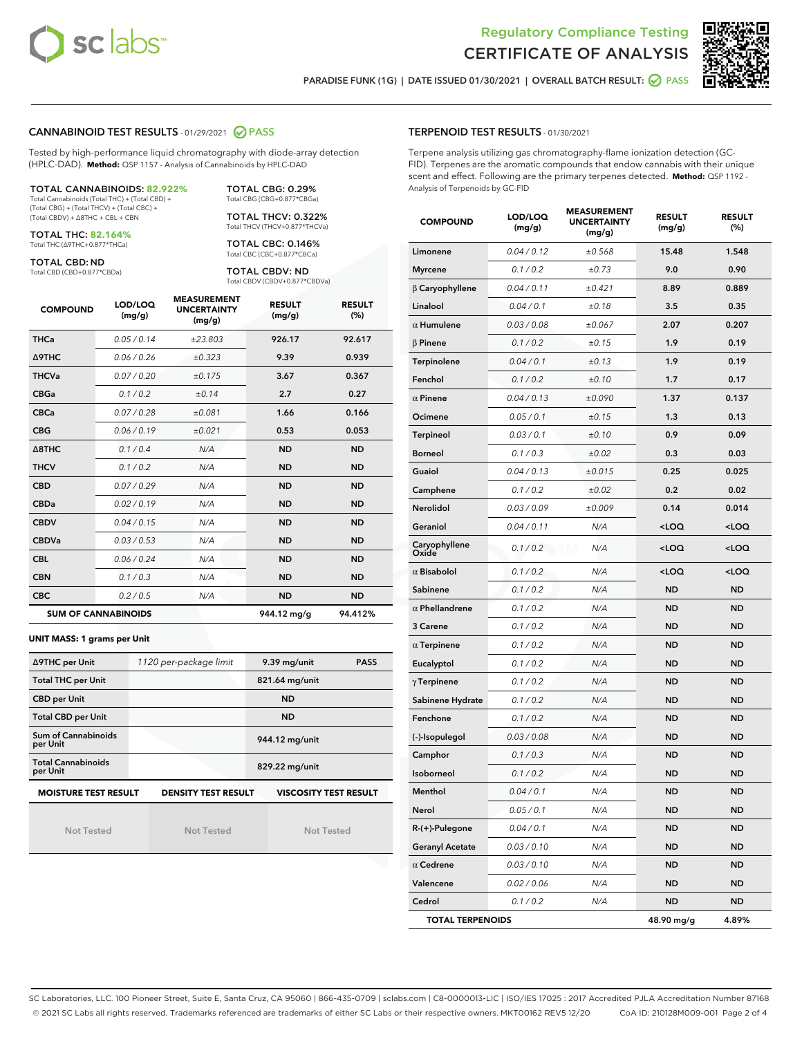



PARADISE FUNK (1G) | DATE ISSUED 01/30/2021 | OVERALL BATCH RESULT: @ PASS

## CANNABINOID TEST RESULTS - 01/29/2021 2 PASS

Tested by high-performance liquid chromatography with diode-array detection (HPLC-DAD). **Method:** QSP 1157 - Analysis of Cannabinoids by HPLC-DAD

| <b>TOTAL CANNABINOIDS: 82.922%</b>             |
|------------------------------------------------|
| Total Cannabinoids (Total THC) + (Total CBD) + |
| (Total CBG) + (Total THCV) + (Total CBC) +     |
| (Total CBDV) + Δ8THC + CBL + CBN               |

TOTAL THC: **82.164%**

Total THC (∆9THC+0.877\*THCa)

TOTAL CBD: ND Total CBD (CBD+0.877\*CBDa) TOTAL CBG: 0.29% Total CBG (CBG+0.877\*CBGa)

TOTAL THCV: 0.322% Total THCV (THCV+0.877\*THCVa)

TOTAL CBC: 0.146% Total CBC (CBC+0.877\*CBCa)

TOTAL CBDV: ND Total CBDV (CBDV+0.877\*CBDVa)

| <b>COMPOUND</b>  | LOD/LOQ<br>(mg/g)          | <b>MEASUREMENT</b><br><b>UNCERTAINTY</b><br>(mg/g) | <b>RESULT</b><br>(mg/g) | <b>RESULT</b><br>(%) |
|------------------|----------------------------|----------------------------------------------------|-------------------------|----------------------|
| <b>THCa</b>      | 0.05/0.14                  | ±23.803                                            | 926.17                  | 92.617               |
| <b>A9THC</b>     | 0.06 / 0.26                | ±0.323                                             | 9.39                    | 0.939                |
| <b>THCVa</b>     | 0.07/0.20                  | ±0.175                                             | 3.67                    | 0.367                |
| <b>CBGa</b>      | 0.1/0.2                    | ±0.14                                              | 2.7                     | 0.27                 |
| <b>CBCa</b>      | 0.07/0.28                  | ±0.081                                             | 1.66                    | 0.166                |
| <b>CBG</b>       | 0.06/0.19                  | ±0.021                                             | 0.53                    | 0.053                |
| $\triangle$ 8THC | 0.1/0.4                    | N/A                                                | <b>ND</b>               | <b>ND</b>            |
| <b>THCV</b>      | 0.1/0.2                    | N/A                                                | <b>ND</b>               | <b>ND</b>            |
| <b>CBD</b>       | 0.07/0.29                  | N/A                                                | <b>ND</b>               | <b>ND</b>            |
| <b>CBDa</b>      | 0.02/0.19                  | N/A                                                | <b>ND</b>               | <b>ND</b>            |
| <b>CBDV</b>      | 0.04 / 0.15                | N/A                                                | <b>ND</b>               | <b>ND</b>            |
| <b>CBDVa</b>     | 0.03/0.53                  | N/A                                                | <b>ND</b>               | <b>ND</b>            |
| <b>CBL</b>       | 0.06 / 0.24                | N/A                                                | <b>ND</b>               | <b>ND</b>            |
| <b>CBN</b>       | 0.1/0.3                    | N/A                                                | <b>ND</b>               | <b>ND</b>            |
| <b>CBC</b>       | 0.2 / 0.5                  | N/A                                                | <b>ND</b>               | <b>ND</b>            |
|                  | <b>SUM OF CANNABINOIDS</b> |                                                    | 944.12 mg/g             | 94.412%              |

#### **UNIT MASS: 1 grams per Unit**

| ∆9THC per Unit                                                                            | 1120 per-package limit | 9.39 mg/unit<br><b>PASS</b> |  |  |  |
|-------------------------------------------------------------------------------------------|------------------------|-----------------------------|--|--|--|
| <b>Total THC per Unit</b>                                                                 |                        | 821.64 mg/unit              |  |  |  |
| <b>CBD per Unit</b>                                                                       |                        | <b>ND</b>                   |  |  |  |
| <b>Total CBD per Unit</b>                                                                 |                        | <b>ND</b>                   |  |  |  |
| Sum of Cannabinoids<br>per Unit                                                           |                        | 944.12 mg/unit              |  |  |  |
| <b>Total Cannabinoids</b><br>per Unit                                                     |                        | 829.22 mg/unit              |  |  |  |
| <b>MOISTURE TEST RESULT</b><br><b>VISCOSITY TEST RESULT</b><br><b>DENSITY TEST RESULT</b> |                        |                             |  |  |  |

Not Tested

Not Tested

Not Tested

#### TERPENOID TEST RESULTS - 01/30/2021

Terpene analysis utilizing gas chromatography-flame ionization detection (GC-FID). Terpenes are the aromatic compounds that endow cannabis with their unique scent and effect. Following are the primary terpenes detected. **Method:** QSP 1192 - Analysis of Terpenoids by GC-FID

| <b>COMPOUND</b>         | LOD/LOQ<br>(mg/g) | <b>MEASUREMENT</b><br><b>UNCERTAINTY</b><br>(mg/g) | <b>RESULT</b><br>(mg/g)                          | <b>RESULT</b><br>$(\%)$ |
|-------------------------|-------------------|----------------------------------------------------|--------------------------------------------------|-------------------------|
| Limonene                | 0.04 / 0.12       | ±0.568                                             | 15.48                                            | 1.548                   |
| <b>Myrcene</b>          | 0.1 / 0.2         | ±0.73                                              | 9.0                                              | 0.90                    |
| $\beta$ Caryophyllene   | 0.04 / 0.11       | ±0.421                                             | 8.89                                             | 0.889                   |
| Linalool                | 0.04 / 0.1        | ±0.18                                              | 3.5                                              | 0.35                    |
| $\alpha$ Humulene       | 0.03 / 0.08       | ±0.067                                             | 2.07                                             | 0.207                   |
| $\beta$ Pinene          | 0.1 / 0.2         | ±0.15                                              | 1.9                                              | 0.19                    |
| Terpinolene             | 0.04 / 0.1        | ±0.13                                              | 1.9                                              | 0.19                    |
| Fenchol                 | 0.1 / 0.2         | ±0.10                                              | 1.7                                              | 0.17                    |
| $\alpha$ Pinene         | 0.04 / 0.13       | ±0.090                                             | 1.37                                             | 0.137                   |
| Ocimene                 | 0.05 / 0.1        | ±0.15                                              | 1.3                                              | 0.13                    |
| <b>Terpineol</b>        | 0.03 / 0.1        | ±0.10                                              | 0.9                                              | 0.09                    |
| <b>Borneol</b>          | 0.1 / 0.3         | ±0.02                                              | 0.3                                              | 0.03                    |
| Guaiol                  | 0.04 / 0.13       | ±0.015                                             | 0.25                                             | 0.025                   |
| Camphene                | 0.1 / 0.2         | ±0.02                                              | 0.2                                              | 0.02                    |
| Nerolidol               | 0.03 / 0.09       | ±0.009                                             | 0.14                                             | 0.014                   |
| Geraniol                | 0.04 / 0.11       | N/A                                                | <loq< td=""><td><math>&lt;</math>LOQ</td></loq<> | $<$ LOQ                 |
| Caryophyllene<br>Oxide  | 0.1 / 0.2         | N/A<br>M                                           | <loq< td=""><td><loq< td=""></loq<></td></loq<>  | <loq< td=""></loq<>     |
| $\alpha$ Bisabolol      | 0.1 / 0.2         | N/A                                                | <loq< td=""><td><loq< td=""></loq<></td></loq<>  | <loq< td=""></loq<>     |
| Sabinene                | 0.1 / 0.2         | N/A                                                | <b>ND</b>                                        | <b>ND</b>               |
| $\alpha$ Phellandrene   | 0.1 / 0.2         | N/A                                                | <b>ND</b>                                        | ND                      |
| 3 Carene                | 0.1 / 0.2         | N/A                                                | <b>ND</b>                                        | ND                      |
| $\alpha$ Terpinene      | 0.1 / 0.2         | N/A                                                | <b>ND</b>                                        | ND                      |
| Eucalyptol              | 0.1 / 0.2         | N/A                                                | <b>ND</b>                                        | ND                      |
| $\gamma$ Terpinene      | 0.1 / 0.2         | N/A                                                | ND                                               | ND                      |
| Sabinene Hydrate        | 0.1 / 0.2         | N/A                                                | <b>ND</b>                                        | ND                      |
| Fenchone                | 0.1/0.2           | N/A                                                | <b>ND</b>                                        | ND                      |
| (-)-Isopulegol          | 0.03 / 0.08       | N/A                                                | ND                                               | ND                      |
| Camphor                 | 0.1 / 0.3         | N/A                                                | <b>ND</b>                                        | ND                      |
| Isoborneol              | 0.1 / 0.2         | N/A                                                | <b>ND</b>                                        | <b>ND</b>               |
| Menthol                 | 0.04 / 0.1        | N/A                                                | <b>ND</b>                                        | ND                      |
| Nerol                   | 0.05 / 0.1        | N/A                                                | ND                                               | ND                      |
| R-(+)-Pulegone          | 0.04 / 0.1        | N/A                                                | <b>ND</b>                                        | <b>ND</b>               |
| <b>Geranyl Acetate</b>  | 0.03 / 0.10       | N/A                                                | ND                                               | ND                      |
| $\alpha$ Cedrene        | 0.03 / 0.10       | N/A                                                | ND                                               | ND                      |
| Valencene               | 0.02 / 0.06       | N/A                                                | ND                                               | ND                      |
| Cedrol                  | 0.1 / 0.2         | N/A                                                | ND                                               | ND                      |
| <b>TOTAL TERPENOIDS</b> |                   |                                                    | 48.90 mg/g                                       | 4.89%                   |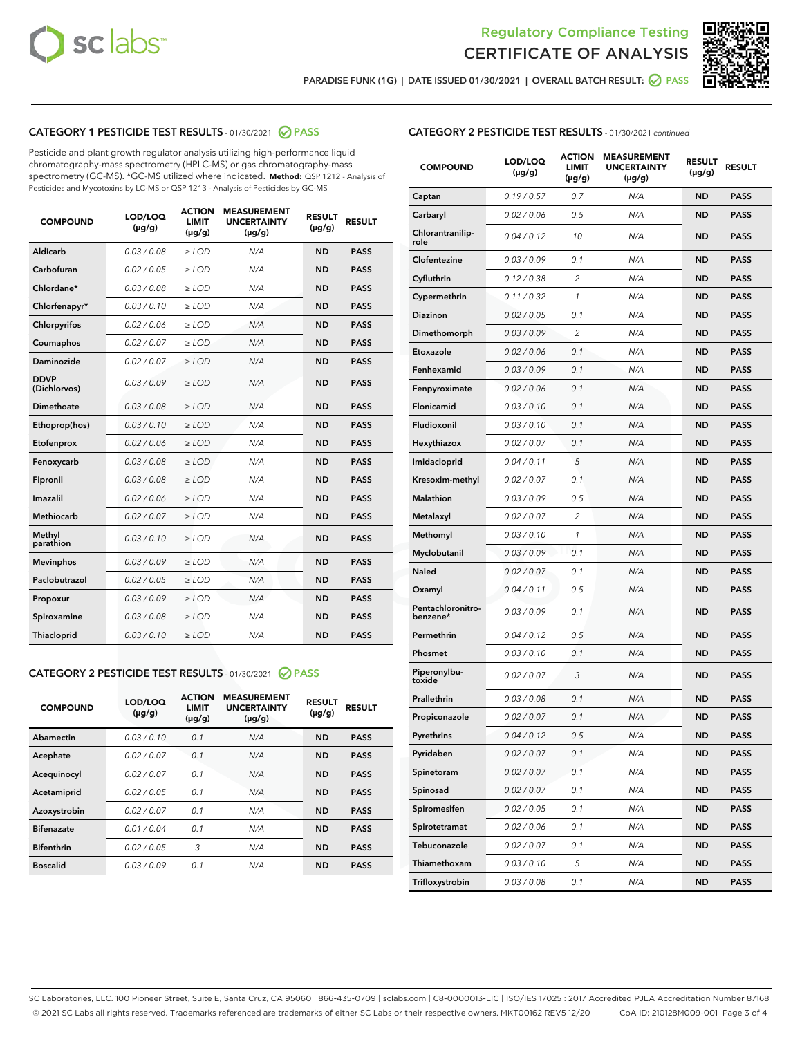



PARADISE FUNK (1G) | DATE ISSUED 01/30/2021 | OVERALL BATCH RESULT:  $\bigcirc$  PASS

# CATEGORY 1 PESTICIDE TEST RESULTS - 01/30/2021 2 PASS

Pesticide and plant growth regulator analysis utilizing high-performance liquid chromatography-mass spectrometry (HPLC-MS) or gas chromatography-mass spectrometry (GC-MS). \*GC-MS utilized where indicated. **Method:** QSP 1212 - Analysis of Pesticides and Mycotoxins by LC-MS or QSP 1213 - Analysis of Pesticides by GC-MS

| <b>COMPOUND</b>             | LOD/LOQ<br>$(\mu g/g)$ | <b>ACTION</b><br><b>LIMIT</b><br>$(\mu q/q)$ | <b>MEASUREMENT</b><br><b>UNCERTAINTY</b><br>$(\mu g/g)$ | <b>RESULT</b><br>$(\mu g/g)$ | <b>RESULT</b> |
|-----------------------------|------------------------|----------------------------------------------|---------------------------------------------------------|------------------------------|---------------|
| Aldicarb                    | 0.03 / 0.08            | $\ge$ LOD                                    | N/A                                                     | <b>ND</b>                    | <b>PASS</b>   |
| Carbofuran                  | 0.02 / 0.05            | $\ge$ LOD                                    | N/A                                                     | <b>ND</b>                    | <b>PASS</b>   |
| Chlordane*                  | 0.03 / 0.08            | $\ge$ LOD                                    | N/A                                                     | <b>ND</b>                    | <b>PASS</b>   |
| Chlorfenapyr*               | 0.03/0.10              | $\ge$ LOD                                    | N/A                                                     | <b>ND</b>                    | <b>PASS</b>   |
| Chlorpyrifos                | 0.02 / 0.06            | $\ge$ LOD                                    | N/A                                                     | <b>ND</b>                    | <b>PASS</b>   |
| Coumaphos                   | 0.02 / 0.07            | $\ge$ LOD                                    | N/A                                                     | <b>ND</b>                    | <b>PASS</b>   |
| Daminozide                  | 0.02 / 0.07            | $\ge$ LOD                                    | N/A                                                     | <b>ND</b>                    | <b>PASS</b>   |
| <b>DDVP</b><br>(Dichlorvos) | 0.03/0.09              | $\ge$ LOD                                    | N/A                                                     | <b>ND</b>                    | <b>PASS</b>   |
| Dimethoate                  | 0.03 / 0.08            | $\ge$ LOD                                    | N/A                                                     | <b>ND</b>                    | <b>PASS</b>   |
| Ethoprop(hos)               | 0.03/0.10              | $\ge$ LOD                                    | N/A                                                     | <b>ND</b>                    | <b>PASS</b>   |
| Etofenprox                  | 0.02/0.06              | $>$ LOD                                      | N/A                                                     | <b>ND</b>                    | <b>PASS</b>   |
| Fenoxycarb                  | 0.03 / 0.08            | $\ge$ LOD                                    | N/A                                                     | <b>ND</b>                    | <b>PASS</b>   |
| Fipronil                    | 0.03/0.08              | $>$ LOD                                      | N/A                                                     | <b>ND</b>                    | <b>PASS</b>   |
| Imazalil                    | 0.02 / 0.06            | $\ge$ LOD                                    | N/A                                                     | <b>ND</b>                    | <b>PASS</b>   |
| Methiocarb                  | 0.02 / 0.07            | $\ge$ LOD                                    | N/A                                                     | <b>ND</b>                    | <b>PASS</b>   |
| Methyl<br>parathion         | 0.03/0.10              | $>$ LOD                                      | N/A                                                     | <b>ND</b>                    | <b>PASS</b>   |
| <b>Mevinphos</b>            | 0.03/0.09              | $>$ LOD                                      | N/A                                                     | <b>ND</b>                    | <b>PASS</b>   |
| Paclobutrazol               | 0.02 / 0.05            | $>$ LOD                                      | N/A                                                     | <b>ND</b>                    | <b>PASS</b>   |
| Propoxur                    | 0.03/0.09              | $\ge$ LOD                                    | N/A                                                     | <b>ND</b>                    | <b>PASS</b>   |
| Spiroxamine                 | 0.03 / 0.08            | $\ge$ LOD                                    | N/A                                                     | <b>ND</b>                    | <b>PASS</b>   |
| Thiacloprid                 | 0.03/0.10              | $\ge$ LOD                                    | N/A                                                     | <b>ND</b>                    | <b>PASS</b>   |

## CATEGORY 2 PESTICIDE TEST RESULTS - 01/30/2021 @ PASS

| <b>COMPOUND</b>   | LOD/LOQ<br>$(\mu g/g)$ | <b>ACTION</b><br><b>LIMIT</b><br>$(\mu g/g)$ | <b>MEASUREMENT</b><br><b>UNCERTAINTY</b><br>$(\mu g/g)$ | <b>RESULT</b><br>$(\mu g/g)$ | <b>RESULT</b> |
|-------------------|------------------------|----------------------------------------------|---------------------------------------------------------|------------------------------|---------------|
| Abamectin         | 0.03/0.10              | 0.1                                          | N/A                                                     | <b>ND</b>                    | <b>PASS</b>   |
| Acephate          | 0.02/0.07              | 0.1                                          | N/A                                                     | <b>ND</b>                    | <b>PASS</b>   |
| Acequinocyl       | 0.02/0.07              | 0.1                                          | N/A                                                     | <b>ND</b>                    | <b>PASS</b>   |
| Acetamiprid       | 0.02/0.05              | 0.1                                          | N/A                                                     | <b>ND</b>                    | <b>PASS</b>   |
| Azoxystrobin      | 0.02/0.07              | 0.1                                          | N/A                                                     | <b>ND</b>                    | <b>PASS</b>   |
| <b>Bifenazate</b> | 0.01/0.04              | 0.1                                          | N/A                                                     | <b>ND</b>                    | <b>PASS</b>   |
| <b>Bifenthrin</b> | 0.02/0.05              | 3                                            | N/A                                                     | <b>ND</b>                    | <b>PASS</b>   |
| <b>Boscalid</b>   | 0.03/0.09              | 0.1                                          | N/A                                                     | <b>ND</b>                    | <b>PASS</b>   |

# CATEGORY 2 PESTICIDE TEST RESULTS - 01/30/2021 continued

| <b>COMPOUND</b>               | LOD/LOQ<br>(µg/g) | <b>ACTION</b><br><b>LIMIT</b><br>(µg/g) | <b>MEASUREMENT</b><br><b>UNCERTAINTY</b><br>$(\mu g/g)$ | <b>RESULT</b><br>(µg/g) | <b>RESULT</b> |
|-------------------------------|-------------------|-----------------------------------------|---------------------------------------------------------|-------------------------|---------------|
| Captan                        | 0.19/0.57         | 0.7                                     | N/A                                                     | <b>ND</b>               | <b>PASS</b>   |
| Carbaryl                      | 0.02 / 0.06       | 0.5                                     | N/A                                                     | <b>ND</b>               | <b>PASS</b>   |
| Chlorantranilip-<br>role      | 0.04 / 0.12       | 10                                      | N/A                                                     | <b>ND</b>               | <b>PASS</b>   |
| Clofentezine                  | 0.03 / 0.09       | 0.1                                     | N/A                                                     | ND                      | <b>PASS</b>   |
| Cyfluthrin                    | 0.12 / 0.38       | 2                                       | N/A                                                     | ND                      | <b>PASS</b>   |
| Cypermethrin                  | 0.11/0.32         | 1                                       | N/A                                                     | <b>ND</b>               | <b>PASS</b>   |
| Diazinon                      | 0.02 / 0.05       | 0.1                                     | N/A                                                     | <b>ND</b>               | <b>PASS</b>   |
| Dimethomorph                  | 0.03/0.09         | 2                                       | N/A                                                     | ND                      | <b>PASS</b>   |
| Etoxazole                     | 0.02 / 0.06       | 0.1                                     | N/A                                                     | <b>ND</b>               | <b>PASS</b>   |
| Fenhexamid                    | 0.03 / 0.09       | 0.1                                     | N/A                                                     | <b>ND</b>               | <b>PASS</b>   |
| Fenpyroximate                 | 0.02 / 0.06       | 0.1                                     | N/A                                                     | ND                      | PASS          |
| Flonicamid                    | 0.03 / 0.10       | 0.1                                     | N/A                                                     | <b>ND</b>               | <b>PASS</b>   |
| Fludioxonil                   | 0.03/0.10         | 0.1                                     | N/A                                                     | <b>ND</b>               | <b>PASS</b>   |
| Hexythiazox                   | 0.02 / 0.07       | 0.1                                     | N/A                                                     | ND                      | <b>PASS</b>   |
| Imidacloprid                  | 0.04 / 0.11       | 5                                       | N/A                                                     | <b>ND</b>               | <b>PASS</b>   |
| Kresoxim-methyl               | 0.02 / 0.07       | 0.1                                     | N/A                                                     | <b>ND</b>               | <b>PASS</b>   |
| Malathion                     | 0.03/0.09         | 0.5                                     | N/A                                                     | ND                      | PASS          |
| Metalaxyl                     | 0.02 / 0.07       | 2                                       | N/A                                                     | <b>ND</b>               | <b>PASS</b>   |
| Methomyl                      | 0.03 / 0.10       | 1                                       | N/A                                                     | <b>ND</b>               | <b>PASS</b>   |
| Myclobutanil                  | 0.03/0.09         | 0.1                                     | N/A                                                     | ND                      | <b>PASS</b>   |
| Naled                         | 0.02 / 0.07       | 0.1                                     | N/A                                                     | <b>ND</b>               | <b>PASS</b>   |
| Oxamyl                        | 0.04 / 0.11       | 0.5                                     | N/A                                                     | <b>ND</b>               | PASS          |
| Pentachloronitro-<br>benzene* | 0.03 / 0.09       | 0.1                                     | N/A                                                     | ND                      | <b>PASS</b>   |
| Permethrin                    | 0.04 / 0.12       | 0.5                                     | N/A                                                     | <b>ND</b>               | <b>PASS</b>   |
| Phosmet                       | 0.03 / 0.10       | 0.1                                     | N/A                                                     | <b>ND</b>               | <b>PASS</b>   |
| Piperonylbu-<br>toxide        | 0.02 / 0.07       | 3                                       | N/A                                                     | ND                      | PASS          |
| Prallethrin                   | 0.03 / 0.08       | 0.1                                     | N/A                                                     | ND                      | PASS          |
| Propiconazole                 | 0.02 / 0.07       | 0.1                                     | N/A                                                     | <b>ND</b>               | <b>PASS</b>   |
| Pyrethrins                    | 0.04 / 0.12       | 0.5                                     | N/A                                                     | ND                      | <b>PASS</b>   |
| Pyridaben                     | 0.02 / 0.07       | 0.1                                     | N/A                                                     | ND                      | <b>PASS</b>   |
| Spinetoram                    | 0.02 / 0.07       | 0.1                                     | N/A                                                     | <b>ND</b>               | <b>PASS</b>   |
| Spinosad                      | 0.02 / 0.07       | 0.1                                     | N/A                                                     | ND                      | <b>PASS</b>   |
| Spiromesifen                  | 0.02 / 0.05       | 0.1                                     | N/A                                                     | <b>ND</b>               | <b>PASS</b>   |
| Spirotetramat                 | 0.02 / 0.06       | 0.1                                     | N/A                                                     | <b>ND</b>               | <b>PASS</b>   |
| Tebuconazole                  | 0.02 / 0.07       | 0.1                                     | N/A                                                     | ND                      | <b>PASS</b>   |
| Thiamethoxam                  | 0.03 / 0.10       | 5                                       | N/A                                                     | <b>ND</b>               | <b>PASS</b>   |
| Trifloxystrobin               | 0.03 / 0.08       | 0.1                                     | N/A                                                     | <b>ND</b>               | <b>PASS</b>   |